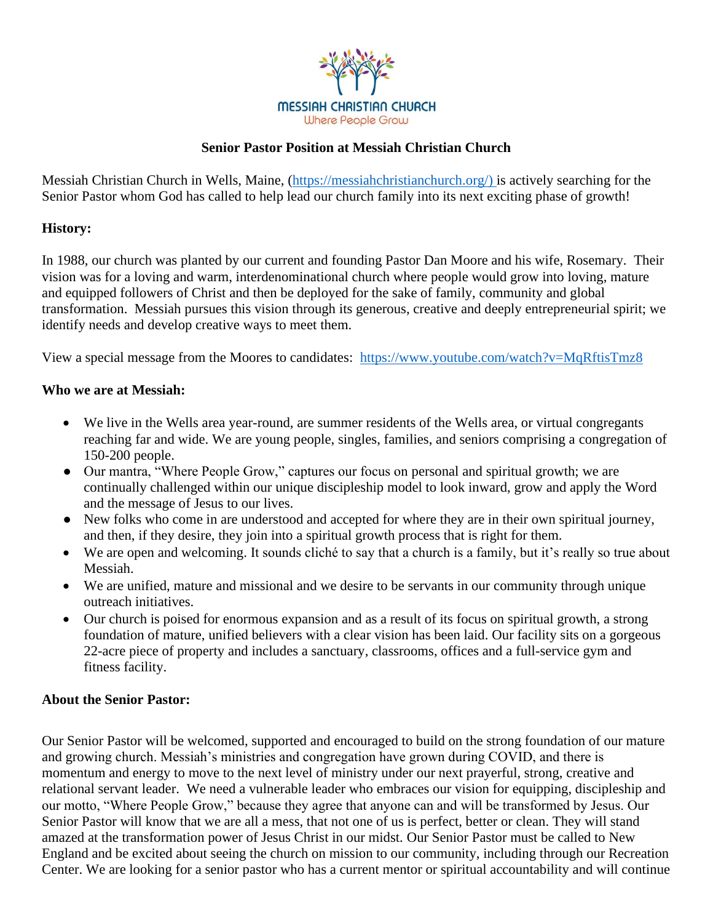

### **Senior Pastor Position at Messiah Christian Church**

Messiah Christian Church in Wells, Maine, [\(https://messiahchristianchurch.org/\)](https://messiahchristianchurch.org/) is actively searching for the Senior Pastor whom God has called to help lead our church family into its next exciting phase of growth!

#### **History:**

In 1988, our church was planted by our current and founding Pastor Dan Moore and his wife, Rosemary. Their vision was for a loving and warm, interdenominational church where people would grow into loving, mature and equipped followers of Christ and then be deployed for the sake of family, community and global transformation. Messiah pursues this vision through its generous, creative and deeply entrepreneurial spirit; we identify needs and develop creative ways to meet them.

View a special message from the Moores to candidates: <https://www.youtube.com/watch?v=MqRftisTmz8>

#### **Who we are at Messiah:**

- We live in the Wells area year-round, are summer residents of the Wells area, or virtual congregants reaching far and wide. We are young people, singles, families, and seniors comprising a congregation of 150-200 people.
- Our mantra, "Where People Grow," captures our focus on personal and spiritual growth; we are continually challenged within our unique discipleship model to look inward, grow and apply the Word and the message of Jesus to our lives.
- New folks who come in are understood and accepted for where they are in their own spiritual journey, and then, if they desire, they join into a spiritual growth process that is right for them.
- We are open and welcoming. It sounds cliché to say that a church is a family, but it's really so true about Messiah.
- We are unified, mature and missional and we desire to be servants in our community through unique outreach initiatives.
- Our church is poised for enormous expansion and as a result of its focus on spiritual growth, a strong foundation of mature, unified believers with a clear vision has been laid. Our facility sits on a gorgeous 22-acre piece of property and includes a sanctuary, classrooms, offices and a full-service gym and fitness facility.

#### **About the Senior Pastor:**

Our Senior Pastor will be welcomed, supported and encouraged to build on the strong foundation of our mature and growing church. Messiah's ministries and congregation have grown during COVID, and there is momentum and energy to move to the next level of ministry under our next prayerful, strong, creative and relational servant leader. We need a vulnerable leader who embraces our vision for equipping, discipleship and our motto, "Where People Grow," because they agree that anyone can and will be transformed by Jesus. Our Senior Pastor will know that we are all a mess, that not one of us is perfect, better or clean. They will stand amazed at the transformation power of Jesus Christ in our midst. Our Senior Pastor must be called to New England and be excited about seeing the church on mission to our community, including through our Recreation Center. We are looking for a senior pastor who has a current mentor or spiritual accountability and will continue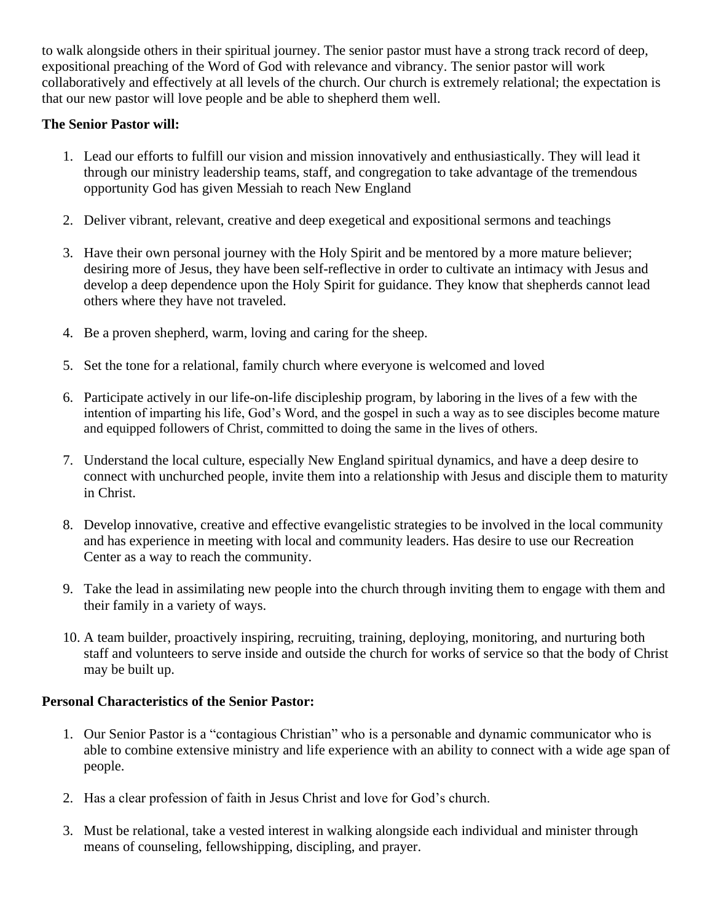to walk alongside others in their spiritual journey. The senior pastor must have a strong track record of deep, expositional preaching of the Word of God with relevance and vibrancy. The senior pastor will work collaboratively and effectively at all levels of the church. Our church is extremely relational; the expectation is that our new pastor will love people and be able to shepherd them well.

# **The Senior Pastor will:**

- 1. Lead our efforts to fulfill our vision and mission innovatively and enthusiastically. They will lead it through our ministry leadership teams, staff, and congregation to take advantage of the tremendous opportunity God has given Messiah to reach New England
- 2. Deliver vibrant, relevant, creative and deep exegetical and expositional sermons and teachings
- 3. Have their own personal journey with the Holy Spirit and be mentored by a more mature believer; desiring more of Jesus, they have been self-reflective in order to cultivate an intimacy with Jesus and develop a deep dependence upon the Holy Spirit for guidance. They know that shepherds cannot lead others where they have not traveled.
- 4. Be a proven shepherd, warm, loving and caring for the sheep.
- 5. Set the tone for a relational, family church where everyone is welcomed and loved
- 6. Participate actively in our life-on-life discipleship program, by laboring in the lives of a few with the intention of imparting his life, God's Word, and the gospel in such a way as to see disciples become mature and equipped followers of Christ, committed to doing the same in the lives of others.
- 7. Understand the local culture, especially New England spiritual dynamics, and have a deep desire to connect with unchurched people, invite them into a relationship with Jesus and disciple them to maturity in Christ.
- 8. Develop innovative, creative and effective evangelistic strategies to be involved in the local community and has experience in meeting with local and community leaders. Has desire to use our Recreation Center as a way to reach the community.
- 9. Take the lead in assimilating new people into the church through inviting them to engage with them and their family in a variety of ways.
- 10. A team builder, proactively inspiring, recruiting, training, deploying, monitoring, and nurturing both staff and volunteers to serve inside and outside the church for works of service so that the body of Christ may be built up.

# **Personal Characteristics of the Senior Pastor:**

- 1. Our Senior Pastor is a "contagious Christian" who is a personable and dynamic communicator who is able to combine extensive ministry and life experience with an ability to connect with a wide age span of people.
- 2. Has a clear profession of faith in Jesus Christ and love for God's church.
- 3. Must be relational, take a vested interest in walking alongside each individual and minister through means of counseling, fellowshipping, discipling, and prayer.